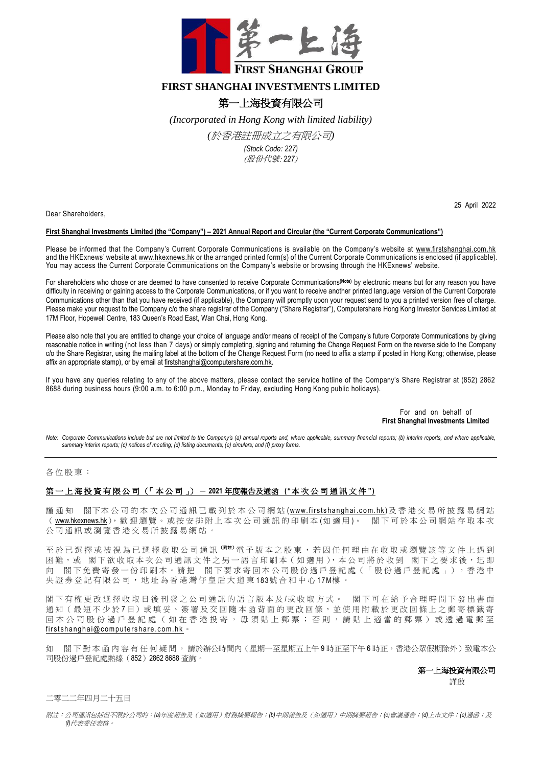

## **FIRST SHANGHAI INVESTMENTS LIMITED**

# 第一上海投資有限公司

*(Incorporated in Hong Kong with limited liability)* 

*(*於香港註冊成立之有限公司*)*

*(Stock Code: 227)* (股份代號: *227*)

Dear Shareholders,

## 25 April 2022

#### **First Shanghai Investments Limited (the "Company") – 2021 Annual Report and Circular (the "Current Corporate Communications")**

Please be informed that the Company's Current Corporate Communications is available on the Company's website at [www.firstshanghai.com.hk](http://www.firstshanghai.com.hk/en/) and the HKExnews' website at [www.hkexnews.hk](http://www.hkexnews.hk/) or the arranged printed form(s) of the Current Corporate Communications is enclosed (if applicable). You may access the Current Corporate Communications on the Company's website or browsing through the HKExnews' website.

For shareholders who chose or are deemed to have consented to receive Corporate Communications**(Note)** by electronic means but for any reason you have difficulty in receiving or gaining access to the Corporate Communications, or if you want to receive another printed language version of the Current Corporate Communications other than that you have received (if applicable), the Company will promptly upon your request send to you a printed version free of charge. Please make your request to the Company c/o the share registrar of the Company ("Share Registrar"), Computershare Hong Kong Investor Services Limited at 17M Floor, Hopewell Centre, 183 Queen's Road East, Wan Chai, Hong Kong.

Please also note that you are entitled to change your choice of language and/or means of receipt of the Company's future Corporate Communications by giving reasonable notice in writing (not less than 7 days) or simply completing, signing and returning the Change Request Form on the reverse side to the Company c/o the Share Registrar, using the mailing label at the bottom of the Change Request Form (no need to affix a stamp if posted in Hong Kong; otherwise, please affix an appropriate stamp), or by email at [firstshanghai@computershare.com.hk.](mailto:firstshanghai@computershare.com.hk)

If you have any queries relating to any of the above matters, please contact the service hotline of the Company's Share Registrar at (852) 2862 8688 during business hours (9:00 a.m. to 6:00 p.m., Monday to Friday, excluding Hong Kong public holidays).

> For and on behalf of **First Shanghai Investments Limited**

*Note: Corporate Communications include but are not limited to the Company's (a) annual reports and, where applicable, summary financial reports; (b) interim reports, and where applicable, summary interim reports; (c) notices of meeting; (d) listing documents; (e) circulars; and (f) proxy forms.*

#### 各位股東:

### 第 一 上 海 投 資 有 限 公 司 (「 本 公 司 」) - **2021** 年度報告及通函 **("**本 次 公 司 通 訊 文 件 **")**

謹 通 知 閣下本公司的本次公司通訊已載列於本公司網站 (www.firstshanghai.com.hk)及香港交易所披露易網站 ( [www.hkexnews.hk](https://www.hkexnews.hk/index_c.htm)), 歡 迎 瀏 覽 。 或 按 安 排 附 上 本 次 公 司 通 訊 的 印 刷 本 (如 適 用)。 閣 下 可 於 本 公 司 網 站 存 取 本 次 公司通訊或瀏覽香港交易所披露易網站

至於已選擇或被視為已選擇收取公司通訊 ( W 注) 電子版本之股東,若因任何理由在收取或瀏覽該等文件上遇到 困難,或 閣下欲收取本次公司通訊文件之另一語言印刷本 (如適用),本公司將於收到 閣下之要求後,迅即 閣下免費寄發一份印刷本。請把 閣下要求寄回本公司股份過戶登記處 (「股份過戶登記處」),香港中 央 證 券 登 記 有 限 公 司 , 地 址 為 香 港 灣 仔 皇 后 大 道 東 1 83號 合 和 中 心 1 7M樓 。

閣下有權更改選擇收取日後刊發之公司通訊的語言版本及/或收取方式。 閣下可在給予合理時間下發出書面 通知(最短不少於7日)或填妥、簽署及交回隨本函背面的更改回條,並使用附載於更改回條上之郵寄標籤寄 回本公司股份過戶登記處(如在香港投寄,毋須貼上郵票;否則,請貼上適當的郵票)或透過電郵至 first shanghai@computershare.com.hk 。

如 閣下 對 本 函 内 容 有 任 何 疑 問 , 請於辦公時間内 (星期一至星期五上午9時正至下午6時正,香港公眾假期除外)致電本公 司股份過戶登記處熱線(852)2862 8688 查詢。

#### 第一上海投資有限公司

この こうしょう こうしょう こうしょう 謹啟

二零二二年四月二十五日

附註:公司通訊包括但不限於公司的:*(a)*年度報告及(如適用)財務摘要報告;*(b)*中期報告及(如適用)中期摘要報告;*(c)*會議通告;*(d)*上市文件;*(e)*通函;及 *(f)*代表委任表格。